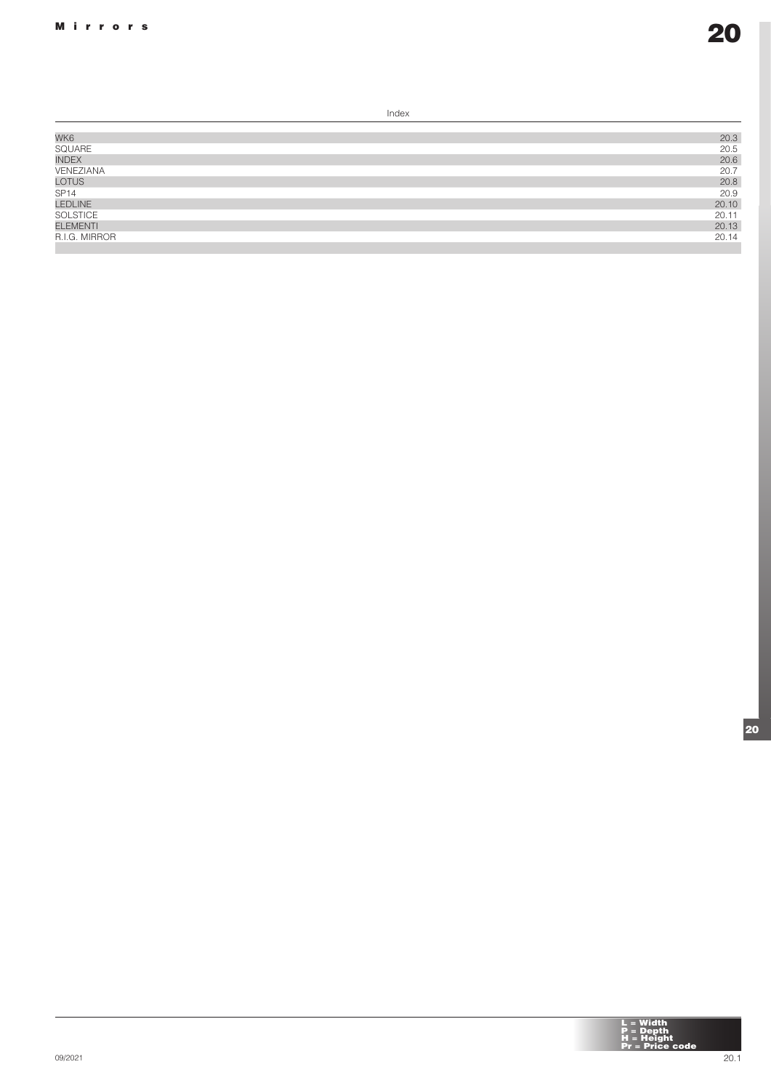Index

| WK6              | 20.3  |
|------------------|-------|
| SQUARE           | 20.5  |
| <b>INDEX</b>     | 20.6  |
| VENEZIANA        | 20.7  |
| <b>LOTUS</b>     | 20.8  |
| SP <sub>14</sub> | 20.9  |
| <b>LEDLINE</b>   | 20.10 |
| <b>SOLSTICE</b>  | 20.11 |
| <b>ELEMENTI</b>  | 20.13 |
| R.I.G. MIRROR    | 20.14 |
|                  |       |

| ı<br>٦ |
|--------|
|        |

| $=$ Width      |
|----------------|
| $=$ Depth      |
| $=$ Height     |
| $=$ Price code |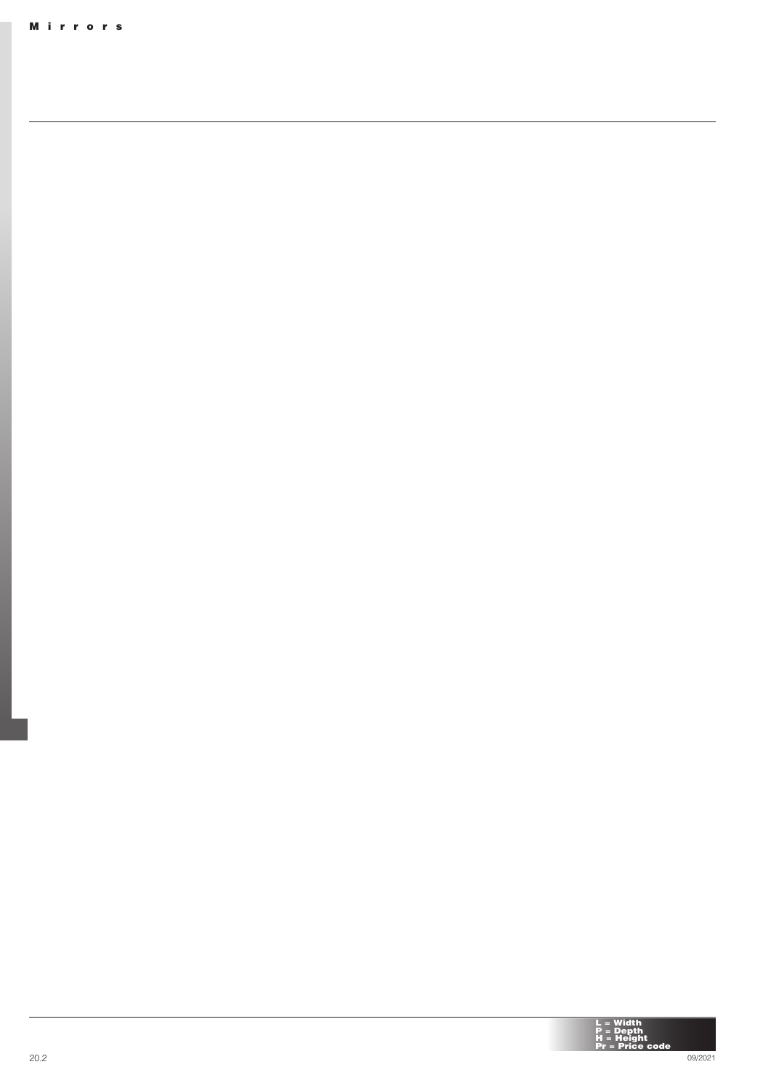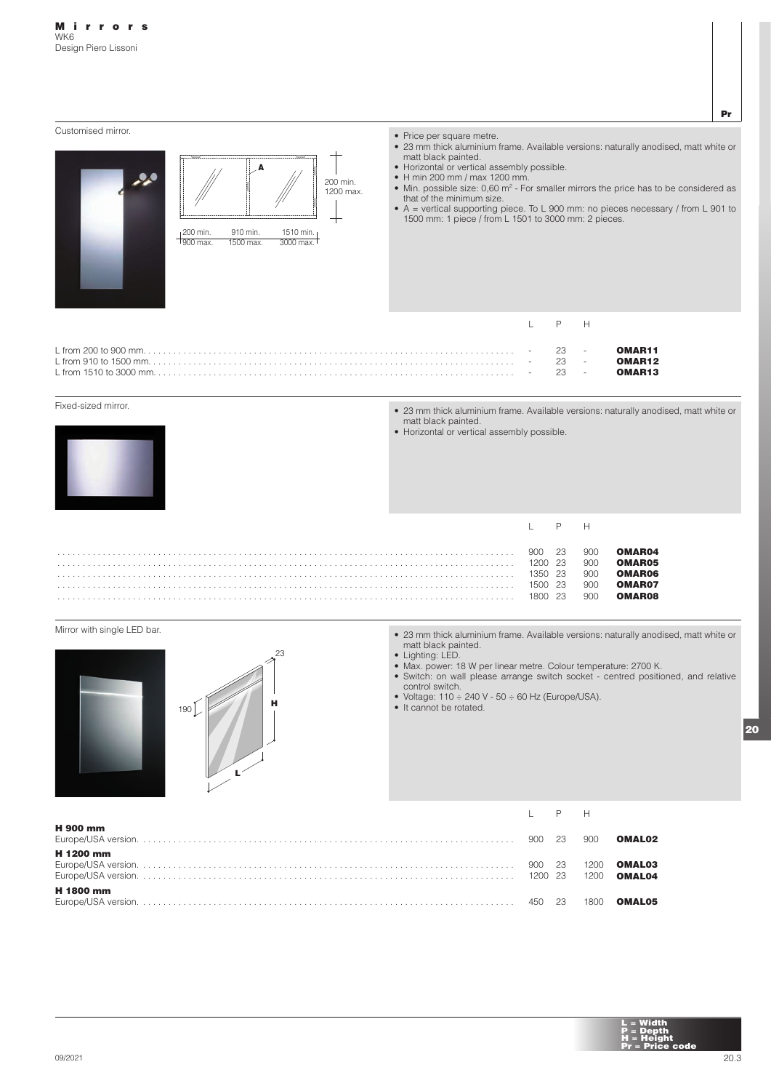|                                                                                                                         |                                                                                                                                                                                                                                                                                                                                                                                                                                                                                                         |                                                 |                     |                                                 |                                                                            | Pr |
|-------------------------------------------------------------------------------------------------------------------------|---------------------------------------------------------------------------------------------------------------------------------------------------------------------------------------------------------------------------------------------------------------------------------------------------------------------------------------------------------------------------------------------------------------------------------------------------------------------------------------------------------|-------------------------------------------------|---------------------|-------------------------------------------------|----------------------------------------------------------------------------|----|
| Customised mirror.<br>200 min.<br>1200 max.<br>200 min.<br>910 min.<br>1510 min.<br>1900 max.<br>1500 max.<br>3000 max. | • Price per square metre.<br>. 23 mm thick aluminium frame. Available versions: naturally anodised, matt white or<br>matt black painted.<br>• Horizontal or vertical assembly possible.<br>• H min 200 mm / max 1200 mm.<br>• Min. possible size: 0,60 m <sup>2</sup> - For smaller mirrors the price has to be considered as<br>that of the minimum size.<br>• A = vertical supporting piece. To L 900 mm: no pieces necessary / from L 901 to<br>1500 mm: 1 piece / from L 1501 to 3000 mm: 2 pieces. |                                                 |                     |                                                 |                                                                            |    |
|                                                                                                                         | L                                                                                                                                                                                                                                                                                                                                                                                                                                                                                                       |                                                 | P<br>23<br>23<br>23 | Н<br>$\overline{\phantom{a}}$<br>$\overline{a}$ | OMAR11<br>OMAR12<br>OMAR13                                                 |    |
| Fixed-sized mirror.                                                                                                     | • 23 mm thick aluminium frame. Available versions: naturally anodised, matt white or<br>matt black painted.<br>• Horizontal or vertical assembly possible.                                                                                                                                                                                                                                                                                                                                              |                                                 |                     |                                                 |                                                                            |    |
|                                                                                                                         | L                                                                                                                                                                                                                                                                                                                                                                                                                                                                                                       | 900<br>1200 23<br>1350 23<br>1500 23<br>1800 23 | P<br>23             | Н<br>900<br>900<br>900<br>900<br>900            | <b>OMAR04</b><br>OMAR05<br><b>OMAR06</b><br><b>OMAR07</b><br><b>OMAR08</b> |    |
| Mirror with single LED bar.<br>н<br>190                                                                                 | • 23 mm thick aluminium frame. Available versions: naturally anodised, matt white or<br>matt black painted.<br>• Lighting: LED.<br>• Max. power: 18 W per linear metre. Colour temperature: 2700 K.<br>· Switch: on wall please arrange switch socket - centred positioned, and relative<br>control switch.<br>• Voltage: 110 ÷ 240 V - 50 ÷ 60 Hz (Europe/USA).<br>• It cannot be rotated.                                                                                                             |                                                 |                     |                                                 |                                                                            |    |
| <b>H</b> 900 mm                                                                                                         | L                                                                                                                                                                                                                                                                                                                                                                                                                                                                                                       | 900                                             | P<br>-23            | Н<br>900                                        | <b>OMAL02</b>                                                              |    |
| H 1200 mm<br>H 1800 mm                                                                                                  |                                                                                                                                                                                                                                                                                                                                                                                                                                                                                                         | 900<br>1200 23                                  | 23                  | 1200<br>1200                                    | OMAL03<br><b>OMAL04</b>                                                    |    |

Europe/USA version. . . . . . . . . . . . . . . . . . . . . . . . . . . . . . . . . . . . . . . . . . . . . . . . . . . . . . . . . . . . . . . . . . . . . . . . . . . 450 23 1800 **OMAL05**

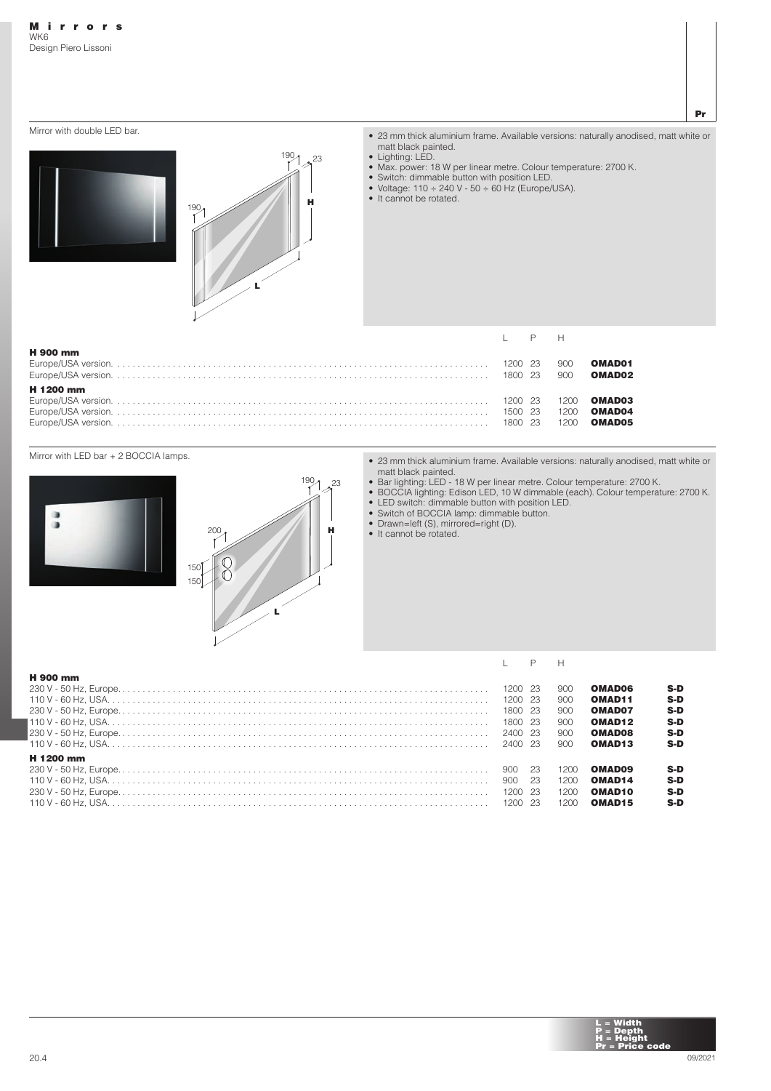| Mirror with double LED bar.<br>م 190<br>190 | • 23 mm thick aluminium frame. Available versions: naturally anodised, matt white or<br>matt black painted.<br>• Lighting: LED.<br>· Max. power: 18 W per linear metre. Colour temperature: 2700 K.<br>• Switch: dimmable button with position LED.<br>• Voltage: $110 \div 240$ V - $50 \div 60$ Hz (Europe/USA).<br>• It cannot be rotated. |                               |   |                      |                            |
|---------------------------------------------|-----------------------------------------------------------------------------------------------------------------------------------------------------------------------------------------------------------------------------------------------------------------------------------------------------------------------------------------------|-------------------------------|---|----------------------|----------------------------|
|                                             |                                                                                                                                                                                                                                                                                                                                               |                               | P | H                    |                            |
| <b>H</b> 900 mm                             |                                                                                                                                                                                                                                                                                                                                               | 1200 23<br>1800 23            |   | 900<br>900           | <b>OMAD01</b><br>OMAD02    |
| H 1200 mm                                   |                                                                                                                                                                                                                                                                                                                                               | 1200 23<br>1500 23<br>1800 23 |   | 1200<br>1200<br>1200 | OMAD03<br>OMAD04<br>OMAD05 |





- Mirror with LED bar + 2 BOCCIA lamps.  **23 mm thick aluminium frame.** Available versions: naturally anodised, matt white or matt black painted.
	- Bar lighting: LED 18 W per linear metre. Colour temperature: 2700 K.
	- BOCCIA lighting: Edison LED, 10 W dimmable (each). Colour temperature: 2700 K.
	- LED switch: dimmable button with position LED.
	- Switch of BOCCIA lamp: dimmable button.
	- Drawn=left (S), mirrored=right (D).
	- It cannot be rotated.

|           |         | H    |                    |     |
|-----------|---------|------|--------------------|-----|
| H 900 mm  |         |      |                    |     |
|           | 1200 23 | 900  | OMAD06             | S-D |
|           |         | 900  | <b>OMAD11</b>      | S-D |
|           | 1800 23 | 900  | OMAD07             | S-D |
|           | 1800 23 | 900  | OMAD <sub>12</sub> | S-D |
|           | 2400 23 | 900  | OMAD08             | S-D |
|           | 2400 23 | 900  | OMAD <sub>13</sub> | S-D |
| H 1200 mm |         |      |                    |     |
|           |         | 1200 | OMAD09             | S-D |
|           | 900 23  | 1200 | OMAD <sub>14</sub> | S-D |
|           | 1200 23 | 1200 | OMAD <sub>10</sub> | S-D |
|           | 1200 23 | 1200 | OMAD <sub>15</sub> | S-D |

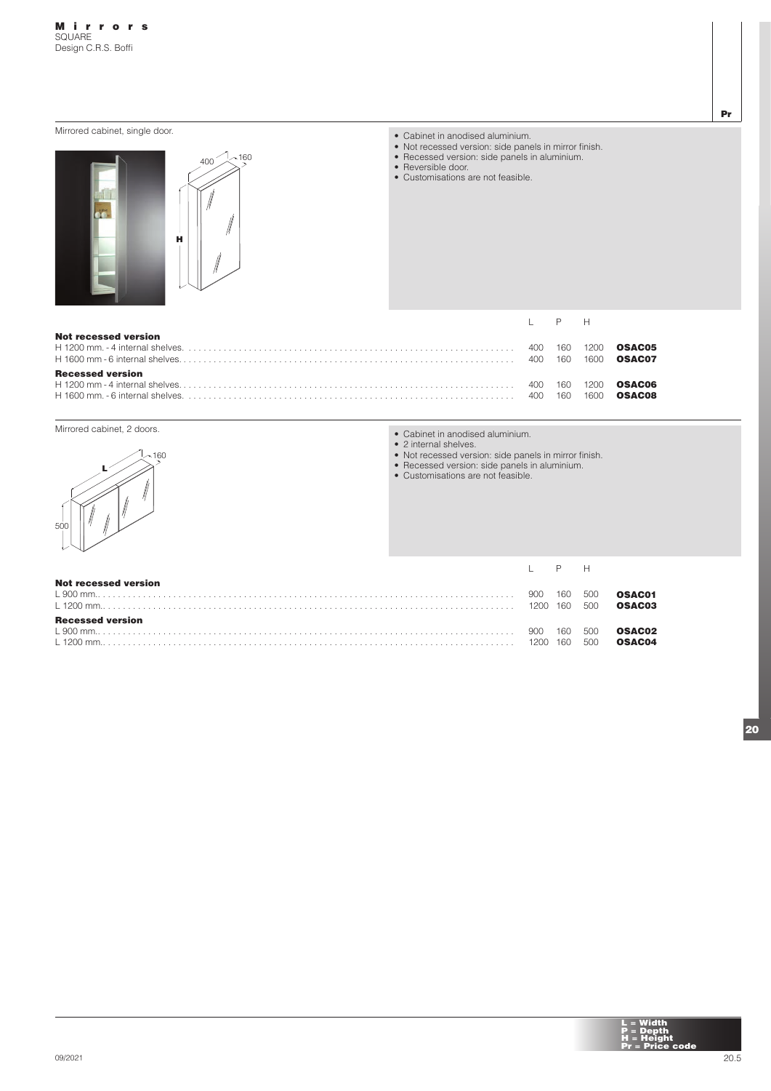

- Mirrored cabinet, single door. Cabinet in anodised aluminium.
	- Not recessed version: side panels in mirror finish.
	- Recessed version: side panels in aluminium.
	- Reversible door.
	- Customisations are not feasible.

|                             | L P H |            |              |                                |
|-----------------------------|-------|------------|--------------|--------------------------------|
| <b>Not recessed version</b> |       |            |              |                                |
|                             | 400.  | 160        | 1200         | OSAC05                         |
|                             | 400   | 160        | 1600         | OSAC07                         |
| <b>Recessed version</b>     |       |            |              |                                |
|                             | 400   | 160<br>160 | 1200<br>1600 | <b>OSACO6</b><br><b>OSACOR</b> |

## **L** 500  $~160$

Mirrored cabinet, 2 doors. • Cabinet in anodised aluminium.

• 2 internal shelves.

• Not recessed version: side panels in mirror finish.

• Recessed version: side panels in aluminium.

• Customisations are not feasible.

|                             | $\begin{array}{ccc} & & & \mathsf{P} & \mathsf{H} \end{array}$ |     |     |        |
|-----------------------------|----------------------------------------------------------------|-----|-----|--------|
| <b>Not recessed version</b> |                                                                |     |     |        |
|                             |                                                                | 160 | 500 | OSAC01 |
|                             |                                                                |     | 500 | OSAC03 |
| <b>Recessed version</b>     |                                                                |     |     |        |
|                             |                                                                | 160 | 500 | OSAC02 |
|                             |                                                                | 160 | 500 | OSAC04 |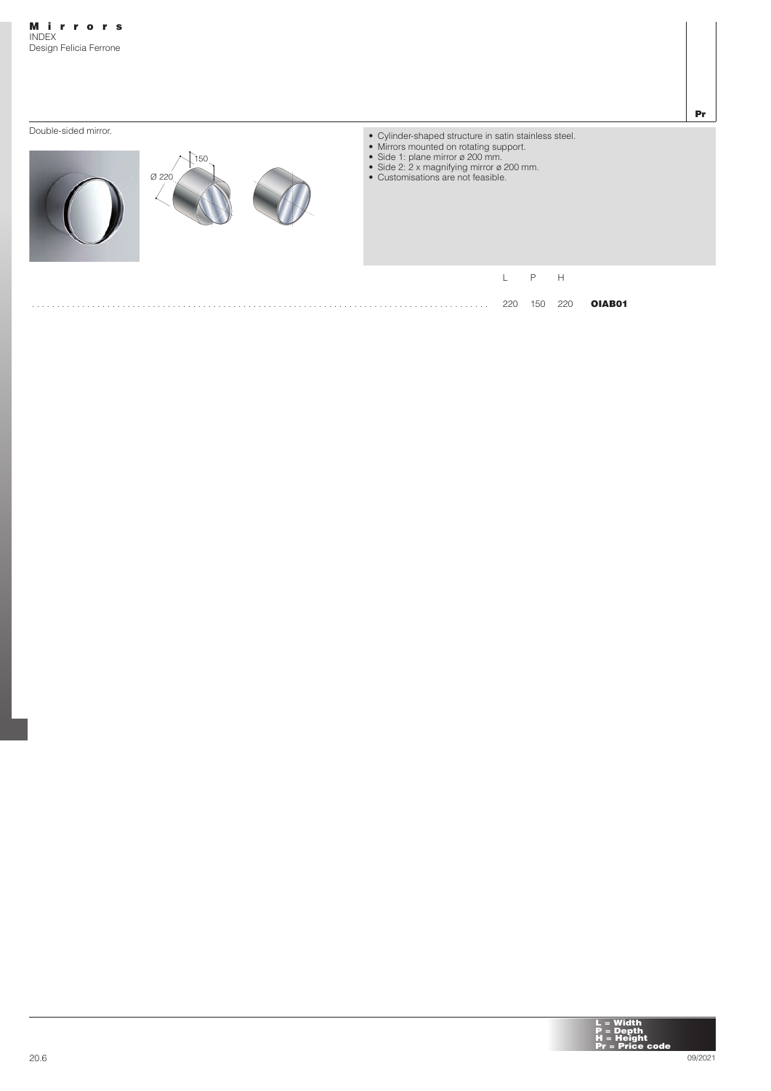

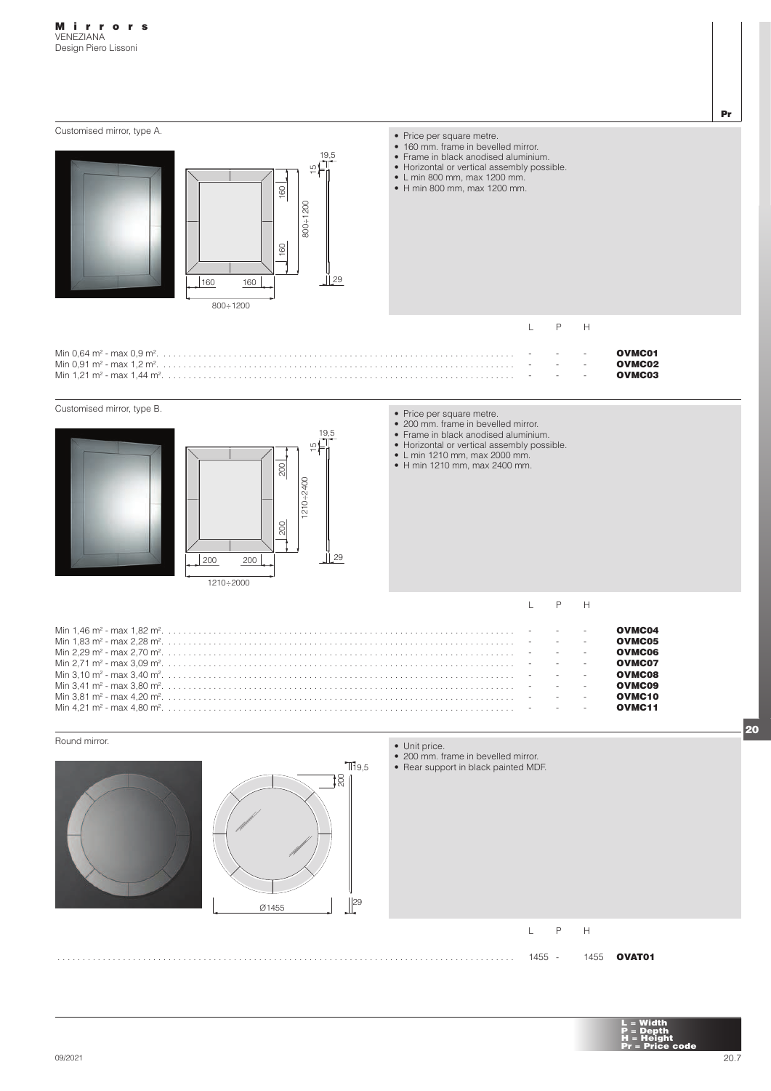

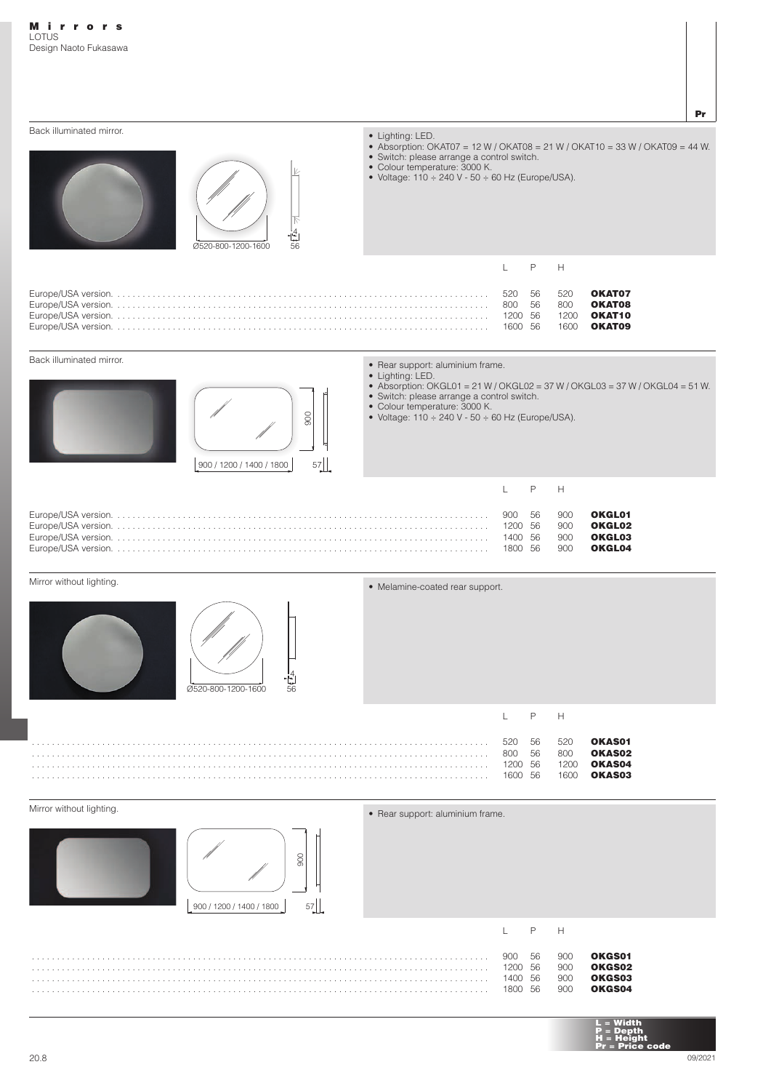

**H = Height Pr = Price code**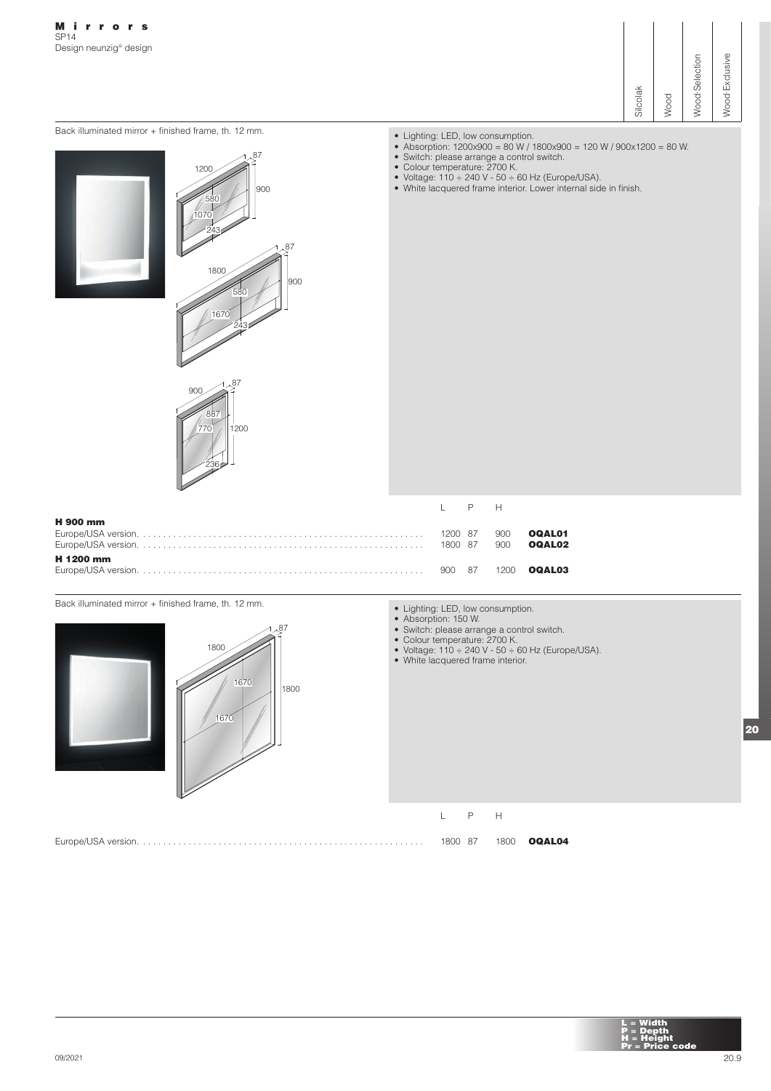

|  | Silcolak | Wood | Wood-Selection | Wood-Exclusive |
|--|----------|------|----------------|----------------|
|--|----------|------|----------------|----------------|

Back illuminated mirror + finished frame, th. 12 mm.<br>• Lighting: LED, low consumption.





236

1800

1670

1670

887 770

nr

- 
- Absorption: 1200x900 = 80 W / 1800x900 = 120 W / 900x1200 = 80 W.
- Switch: please arrange a control switch.
- Colour temperature: 2700 K.
- Voltage: 110 ÷ 240 V 50 ÷ 60 Hz (Europe/USA).
- White lacquered frame interior. Lower internal side in finish.

|           | $\begin{array}{ccc} & & P & H \end{array}$ |     |      |               |
|-----------|--------------------------------------------|-----|------|---------------|
| H 900 mm  |                                            |     |      |               |
|           | 1200 87                                    |     | 900  | <b>OQAL01</b> |
|           | 1800 87                                    |     | 900  | <b>OQAL02</b> |
| H 1200 mm |                                            |     |      |               |
|           | 900                                        | -87 | 1200 | OQAL03        |

Back illuminated mirror + finished frame, th. 12 mm.<br>• Lighting: LED, low consumption.



- Absorption: 150 W.
- Switch: please arrange a control switch.
- Colour temperature: 2700 K.
- Voltage: 110 ÷ 240 V 50 ÷ 60 Hz (Europe/USA).
- White lacquered frame interior.

|  |         | L P H |      |        |
|--|---------|-------|------|--------|
|  | 1800 87 |       | 1800 | OQAL04 |

1800

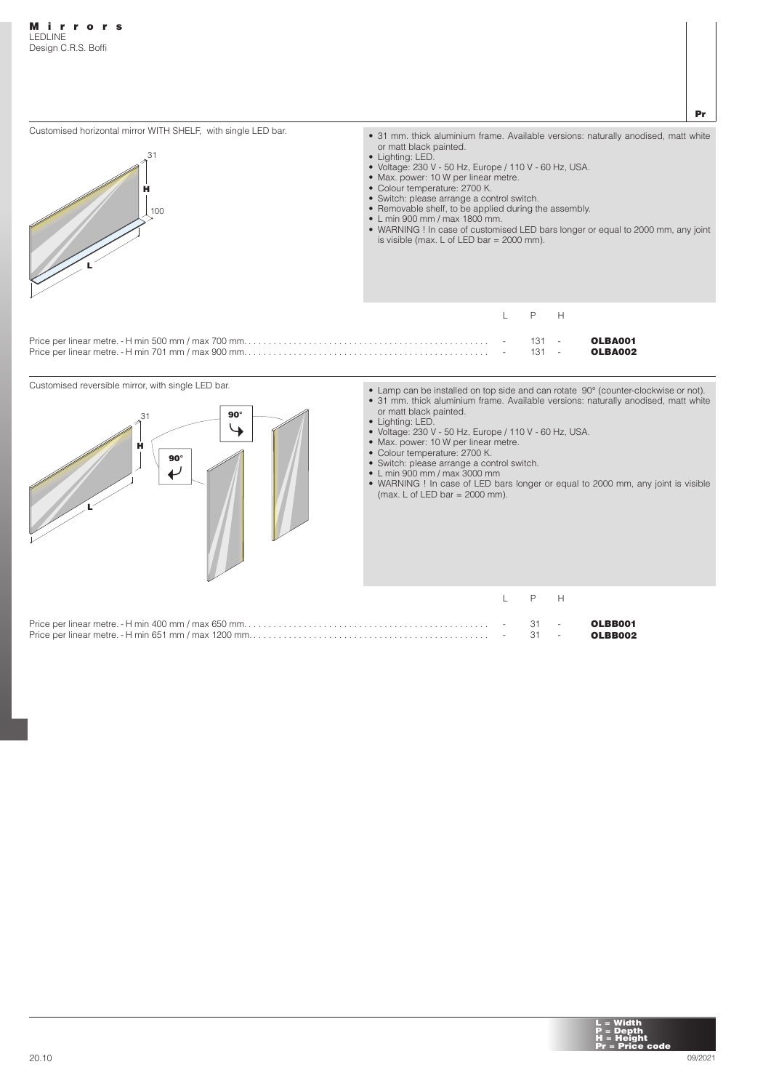

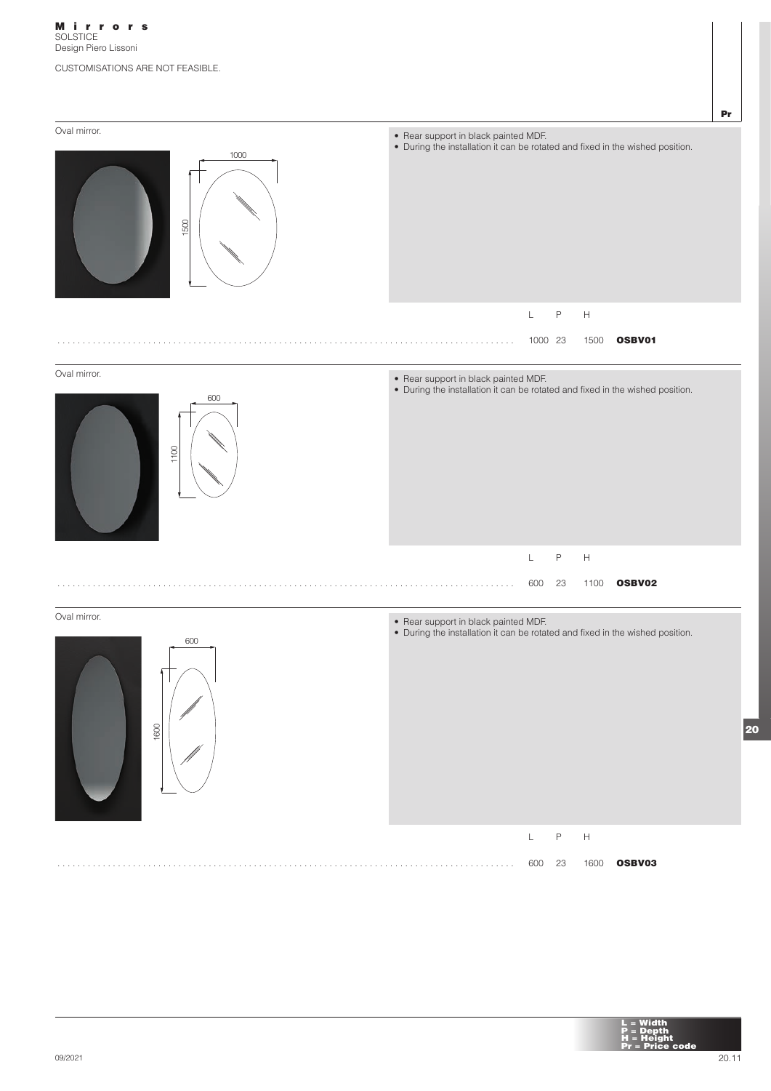**Mirrors** SOLSTICE Design Piero Lissoni CUSTOMISATIONS ARE NOT FEASIBLE.



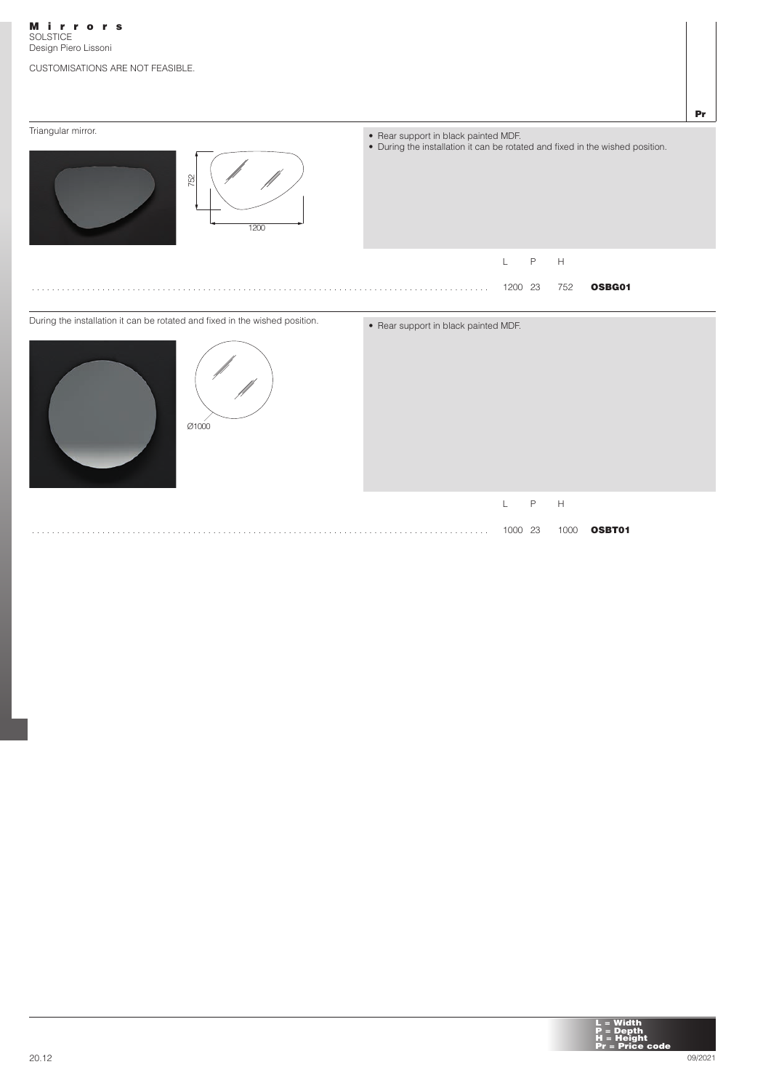**Mirrors** SOLSTICE Design Piero Lissoni CUSTOMISATIONS ARE NOT FEASIBLE.



09/2021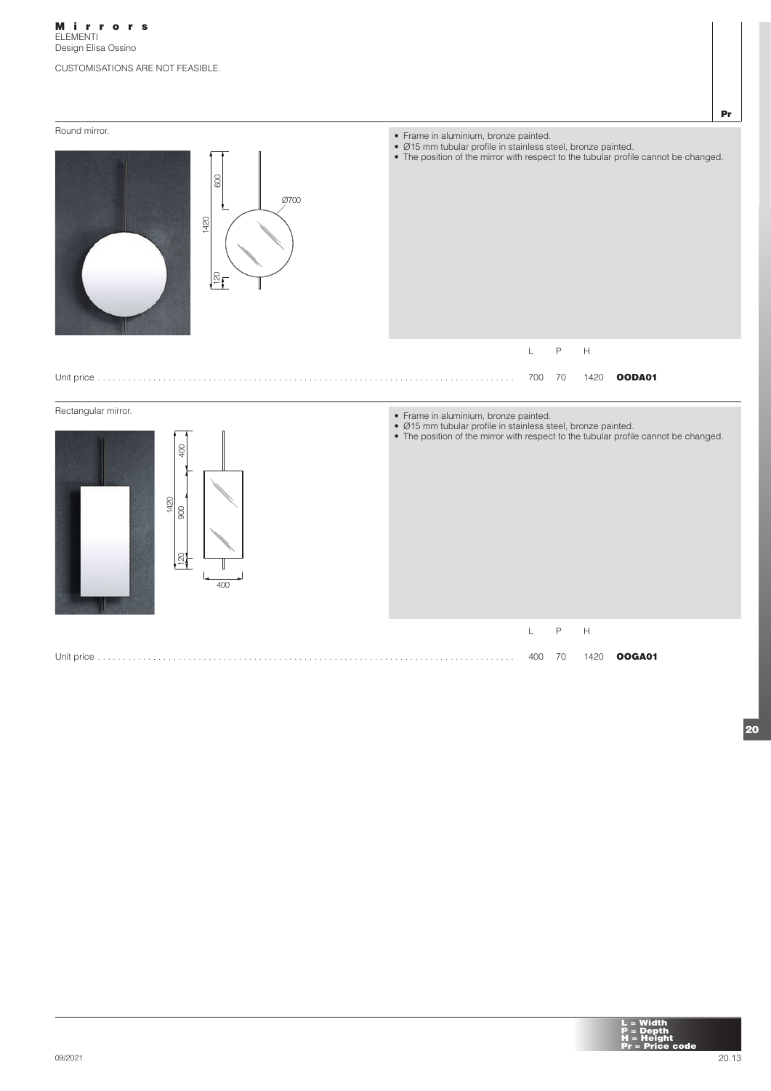**Mirrors** ELEMENTI Design Elisa Ossino CUSTOMISATIONS ARE NOT FEASIBLE.



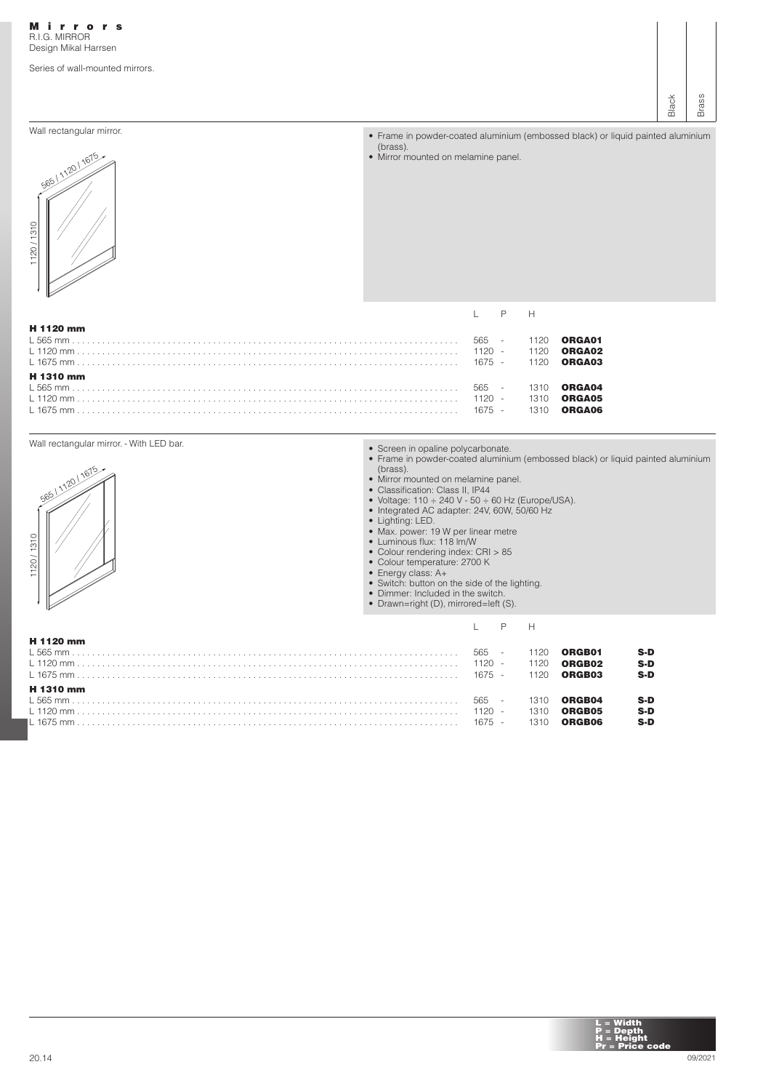Black



Wall rectangular mirror. - With LED bar.



| • Screen in opaline polycarbonate.  |  |  |
|-------------------------------------|--|--|
| • Eramo in nougher coated aluminium |  |  |

- Frame in powder-coated aluminium (embossed black) or liquid painted aluminium (brass).
- Mirror mounted on melamine panel.
- Classification: Class II, IP44
- Voltage: 110 ÷ 240 V 50 ÷ 60 Hz (Europe/USA).
- Integrated AC adapter: 24V, 60W, 50/60 Hz
- Lighting: LED.
- Max. power: 19 W per linear metre
- Luminous flux: 118 lm/W
- Colour rendering index: CRI > 85
- Colour temperature: 2700 K
- Energy class: A+
- Switch: button on the side of the lighting.
- Dimmer: Included in the switch. • Drawn=right (D), mirrored=left (S).
- 

|           |          | $\Box$ $\Box$ $\Box$ |      |        |       |
|-----------|----------|----------------------|------|--------|-------|
| H 1120 mm |          |                      |      |        |       |
|           |          |                      | 1120 | ORGB01 | S.D   |
|           |          |                      | 1120 | ORGB02 | $S-D$ |
|           |          |                      | 1120 | ORGB03 | S.D   |
| H 1310 mm |          |                      |      |        |       |
|           |          |                      | 1310 | ORGB04 | S.D   |
|           |          |                      | 1310 | ORGB05 | $S-D$ |
|           | $1675 -$ |                      |      |        | S.D   |

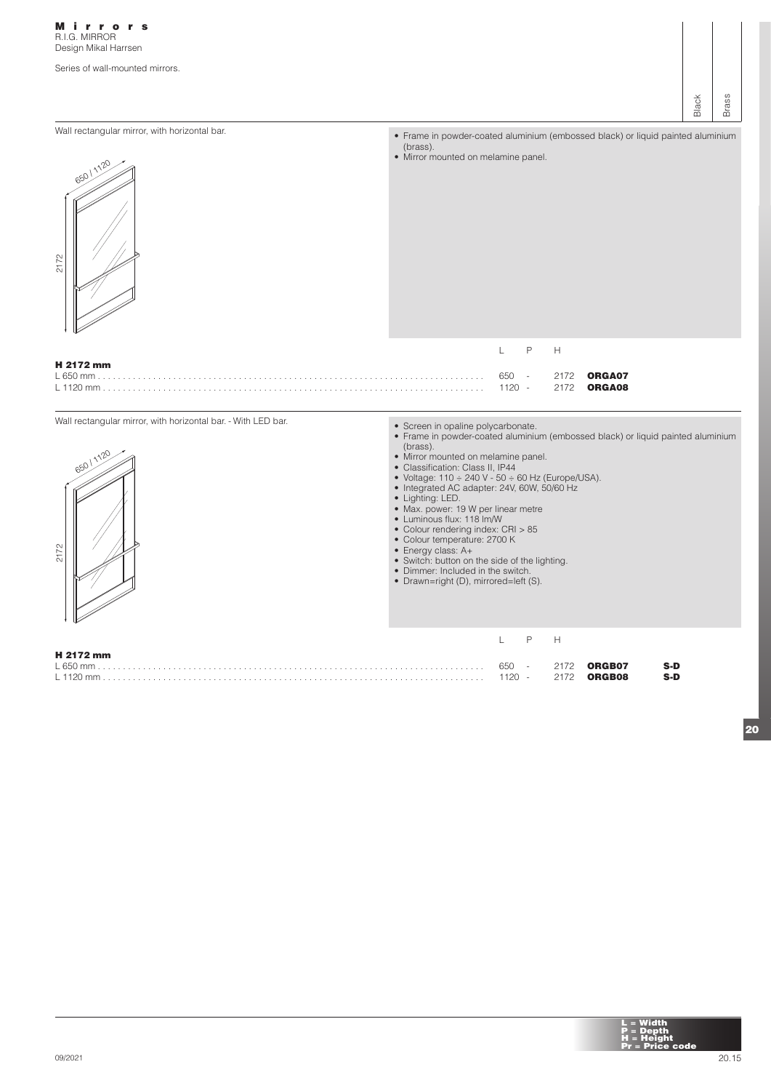Wall rectangular mirror, with horizontal bar. • Frame in powder-coated aluminium (embossed black) or liquid painted aluminium (brass). • Mirror mounted on melamine panel.<br> $650^{11120}$ 2172 L<sub>PH</sub> **H 2172 mm** L 650 mm . . . . . . . . . . . . . . . . . . . . . . . . . . . . . . . . . . . . . . . . . . . . . . . . . . . . . . . . . . . . . . . . . . . . . . . . . . . . . 650 - 2172 **ORGA07** L 1120 mm ............................................................................ 1120 - 2172 **ORGA08** Wall rectangular mirror, with horizontal bar. - With LED bar. • Screen in opaline polycarbonate. • Frame in powder-coated aluminium (embossed black) or liquid painted aluminium (brass). • Mirror mounted on melamine panel. • Classification: Class II, IP44 • Voltage: 110 ÷ 240 V - 50 ÷ 60 Hz (Europe/USA). • Integrated AC adapter: 24V, 60W, 50/60 Hz • Lighting: LED. • Max. power: 19 W per linear metre • Luminous flux: 118 lm/W • Colour rendering index: CRI > 85 • Colour temperature: 2700 K • Energy class: A+ • Switch: button on the side of the lighting. • Dimmer: Included in the switch. • Drawn=right (D), mirrored=left (S). 650 / 1120 2172 **Mirrors** R.I.G. MIRROR Design Mikal Harrsen Series of wall-mounted mirrors. Black Brass

|           |       | $\begin{array}{ccc} \begin{array}{ccc} \end{array} & \mathsf{p} & \end{array}$ |             |  |
|-----------|-------|--------------------------------------------------------------------------------|-------------|--|
| H 2172 mm |       |                                                                                |             |  |
|           | 650 - |                                                                                | 2172 ORGB07 |  |
|           |       |                                                                                | 2172 ORGB08 |  |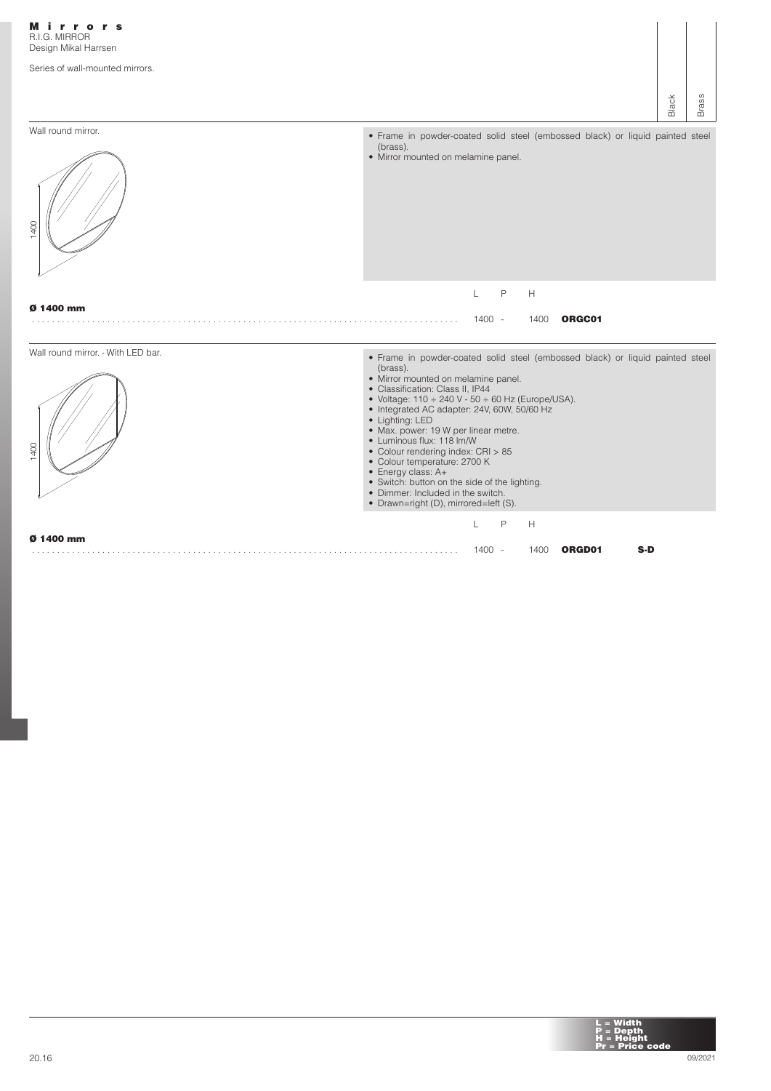

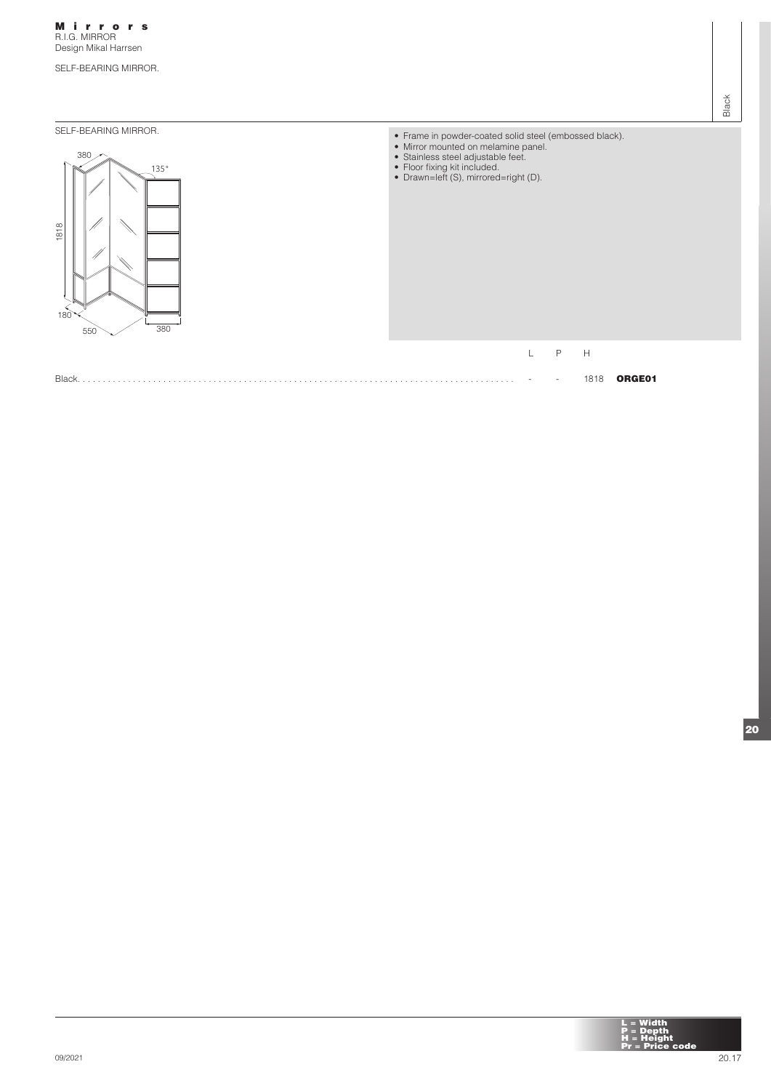